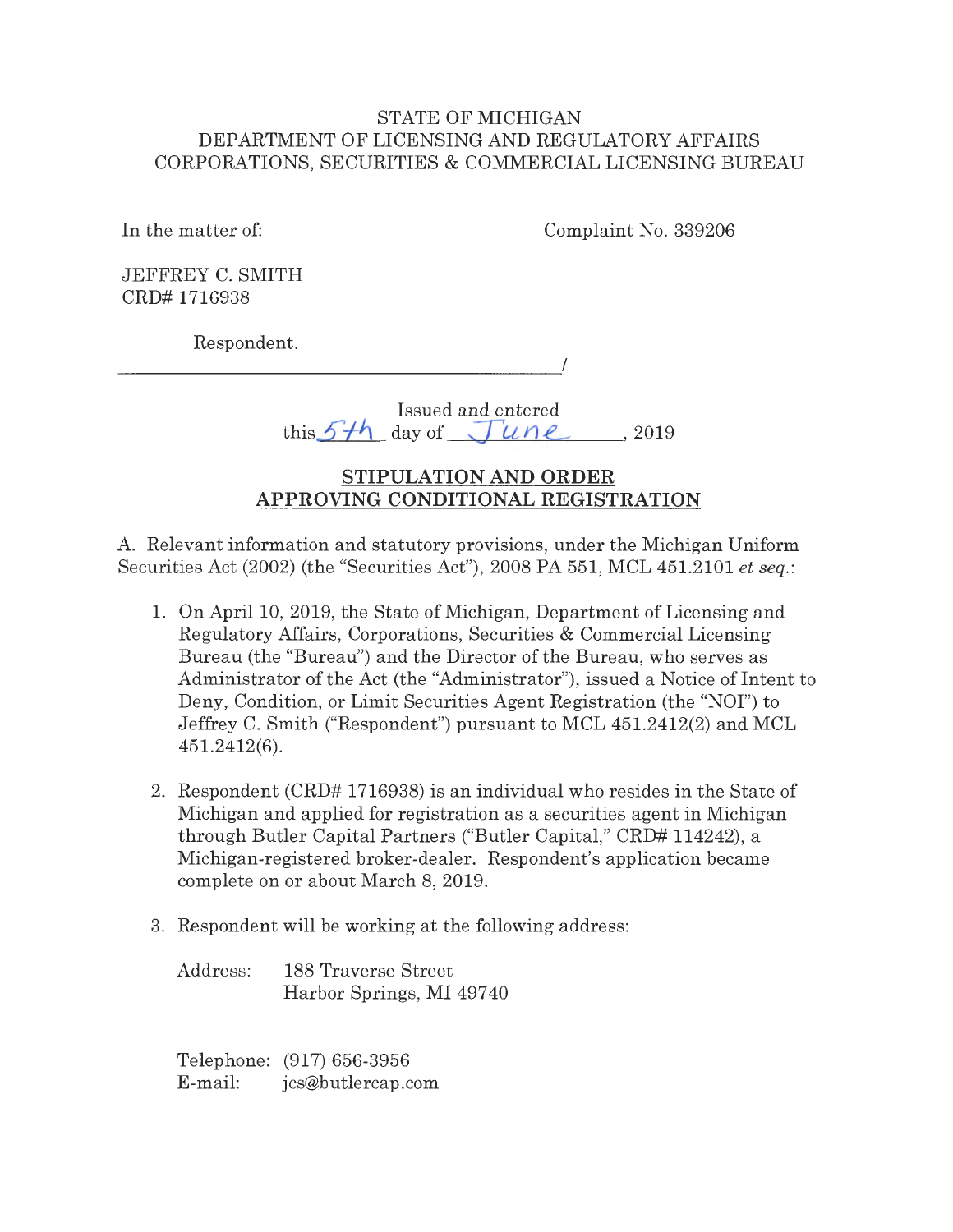## STATE OF MICHIGAN DEPARTMENT OF LICENSING AND REGULATORY AFFAIRS CORPORATIONS, SECURITIES & COMMERCIAL LICENSING BUREAU

In the matter of: Complaint No. 339206

JEFFREY C. SMITH CRD# 1716938

Respondent.

 $\overline{a}$ 

Issued and entered this  $5-h$  day of  $\sqrt{\frac{2019}{}}$ 

# **STIPULATION AND ORDER APPROVING CONDITIONAL REGISTRATION**

A. Relevant information and statutory provisions, under the Michigan Uniform Securities Act (2002) (the "Securities Act"), 2008 PA 551, MCL 451.2101 *et seq. :* 

- 1. On April 10, 2019, the State of Michigan, Department of Licensing and Regulatory Affairs, Corporations, Securities & Commercial Licensing Bureau (the "Bureau") and the Director of the Bureau, who serves as Administrator of the Act (the "Administrator"), issued a Notice of Intent to Deny, Condition, or Limit Securities Agent Registration (the "NOI") to Jeffrey C. Smith ("Respondent") pursuant to MCL 451.2412(2) and MCL 451.2412(6).
- 2. Respondent (CRD# 1716938) is an individual who resides in the State of Michigan and applied for registration as a securities agent in Michigan through Butler Capital Partners ("Butler Capital," CRD# 114242), a Michigan-registered broker-dealer. Respondent's application became complete on or about March 8, 2019.
- 3. Respondent will be working at the following address:
	- Address: 188 Traverse Street Harbor Springs, MI 49740

Telephone: (917) 656-3956 E-mail: jcs@butlercap.com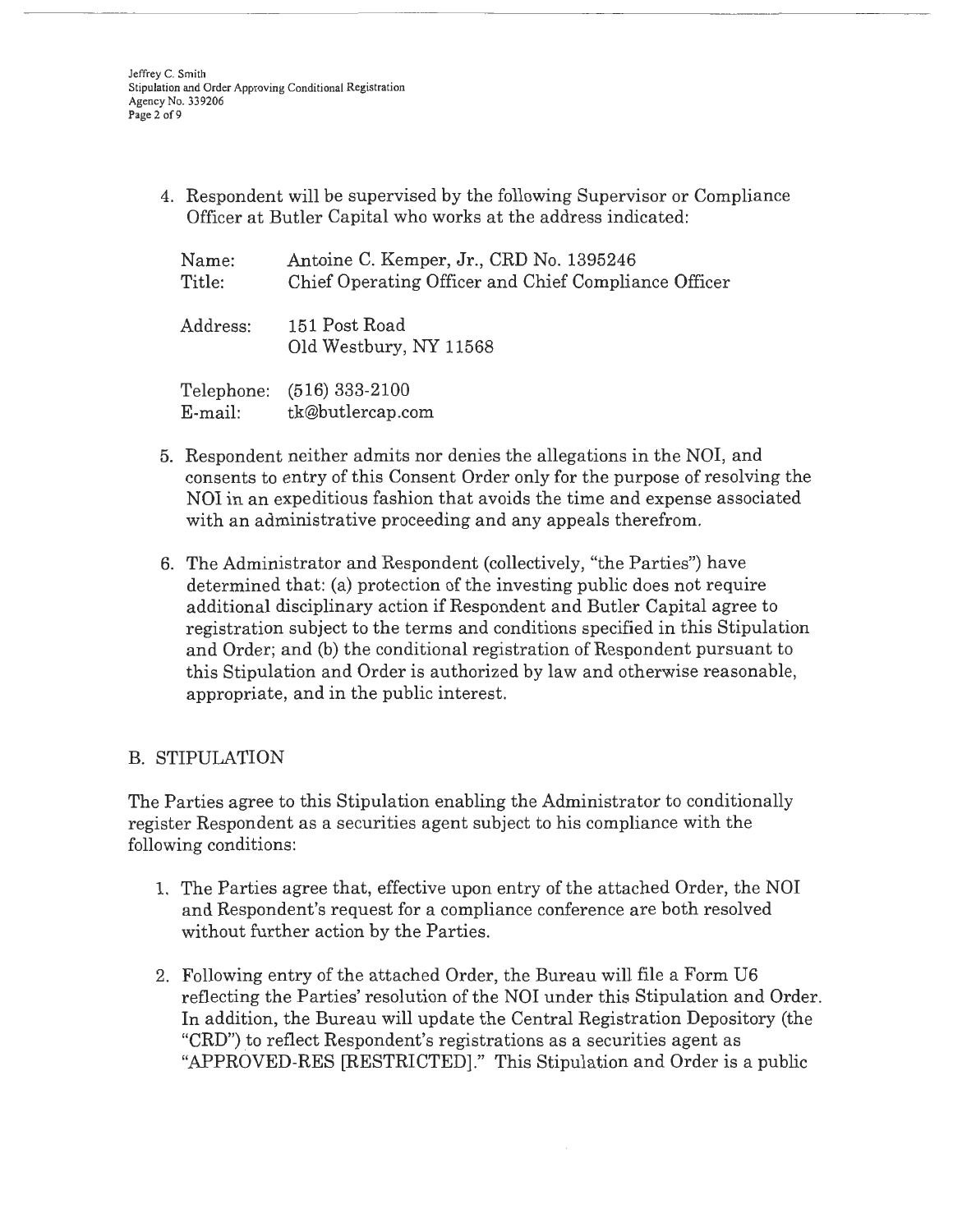Jeffrey C. Smith Stipulation and Order Approving Conditional Registration Agency No. 339206 Page 2 of 9

> 4. Respondent will be supervised by the following Supervisor or Compliance Officer at Butler Capital who works at the address indicated:

| Name:<br>Title: | Antoine C. Kemper, Jr., CRD No. 1395246<br>Chief Operating Officer and Chief Compliance Officer |
|-----------------|-------------------------------------------------------------------------------------------------|
| Address:        | 151 Post Road<br>Old Westbury, NY 11568                                                         |
| $E$ -mail:      | Telephone: (516) 333-2100<br>tk@butlercap.com                                                   |

- 5. Respondent neither admits nor denies the allegations in the **NOI,** and consents to entry of this Consent Order only for the purpose of resolving the NOI in an expeditious fashion that avoids the time and expense associated with an administrative proceeding and any appeals therefrom.
- 6. The Administrator and Respondent (collectively, "the Parties") have determined that: (a) protection of the investing public does not require additional disciplinary action if Respondent and Butler Capital agree to registration subject to the terms and conditions specified in this Stipulation and Order; and (b) the conditional registration of Respondent pursuant to this Stipulation and Order is authorized by law and otherwise reasonable, appropriate, and in the public interest.

# B. STIPULATION

The Parties agree to this Stipulation enabling the Administrator to conditionally register Respondent as a securities agent subject to his compliance with the following conditions:

- 1. The Parties agree that, effective upon entry of the attached Order, the NOI and Respondent's request for a compliance conference are both resolved without further action by the Parties.
- 2. Following entry of the attached Order, the Bureau will file a Form U6 reflecting the Parties' resolution of the NOI under this Stipulation and Order. In addition, the Bureau will update the Central Registration Depository (the "CRD") to reflect Respondent's registrations as a securities agent as "APPROVED-RES [RESTRICTED]." This Stipulation and Order is a public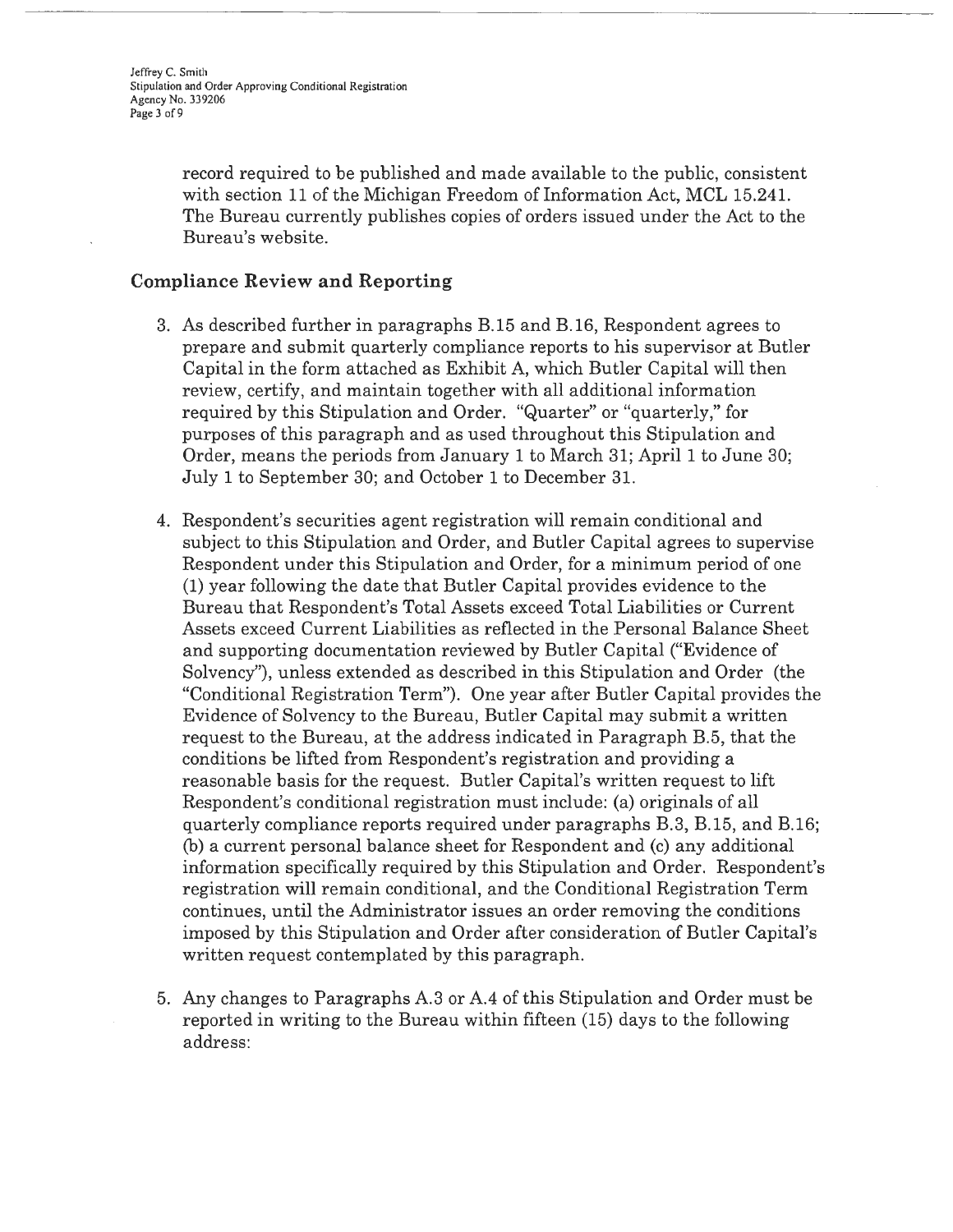Jeffrey C. Smith Stipulation and Order Approving Conditional Registration Agency No. 339206 Page 3 of 9

> record required to be published and made available to the public, consistent with section 11 of the Michigan Freedom of Information Act, MCL 15.241. The Bureau currently publishes copies of orders issued under the Act to the Bureau's website.

#### **Compliance Review and Reporting**

- 3. As described further in paragraphs B.15 and B.16, Respondent agrees to prepare and submit quarterly compliance reports to his supervisor at Butler Capital in the form attached as Exhibit A, which Butler Capital will then review, certify, and maintain together with all additional information required by this Stipulation and Order. "Quarter" or "quarterly," for purposes of this paragraph and as used throughout this Stipulation and Order, means the periods from January 1 to March 31; April 1 to June 30; July **1** to September 30; and October 1 to December 31.
- 4. Respondent's securities agent registration will remain conditional and subject to this Stipulation and Order, and Butler Capital agrees to supervise Respondent under this Stipulation and Order, for a minimum period of one (1) year following the date that Butler Capital provides evidence to the Bureau that Respondent's Total Assets exceed Total Liabilities or Current Assets exceed Current Liabilities as reflected in the Personal Balance Sheet and supporting documentation reviewed by Butler Capital ("Evidence of Solvency"), unless extended as described in this Stipulation and Order (the "Conditional Registration Term"). One year after Butler Capital provides the Evidence of Solvency to the Bureau, Butler Capital may submit a written request to the Bureau, at the address indicated in Paragraph B.5, that the conditions be lifted from Respondent's registration and providing a reasonable basis for the request. Butler Capital's written request to lift Respondent's conditional registration must include: (a) originals of all quarterly compliance reports required under paragraphs B.3, B.15, and B.16; (b) a current personal balance sheet for Respondent and (c) any additional information specifically required by this Stipulation and Order. Respondent's registration will remain conditional, and the Conditional Registration Term continues, until the Administrator issues an order removing the conditions imposed by this Stipulation and Order after consideration of Butler Capital's written request contemplated by this paragraph.
- 5. Any changes to Paragraphs A.3 or A.4 of this Stipulation and Order must be reported in writing to the Bureau within fifteen (15) days to the following address: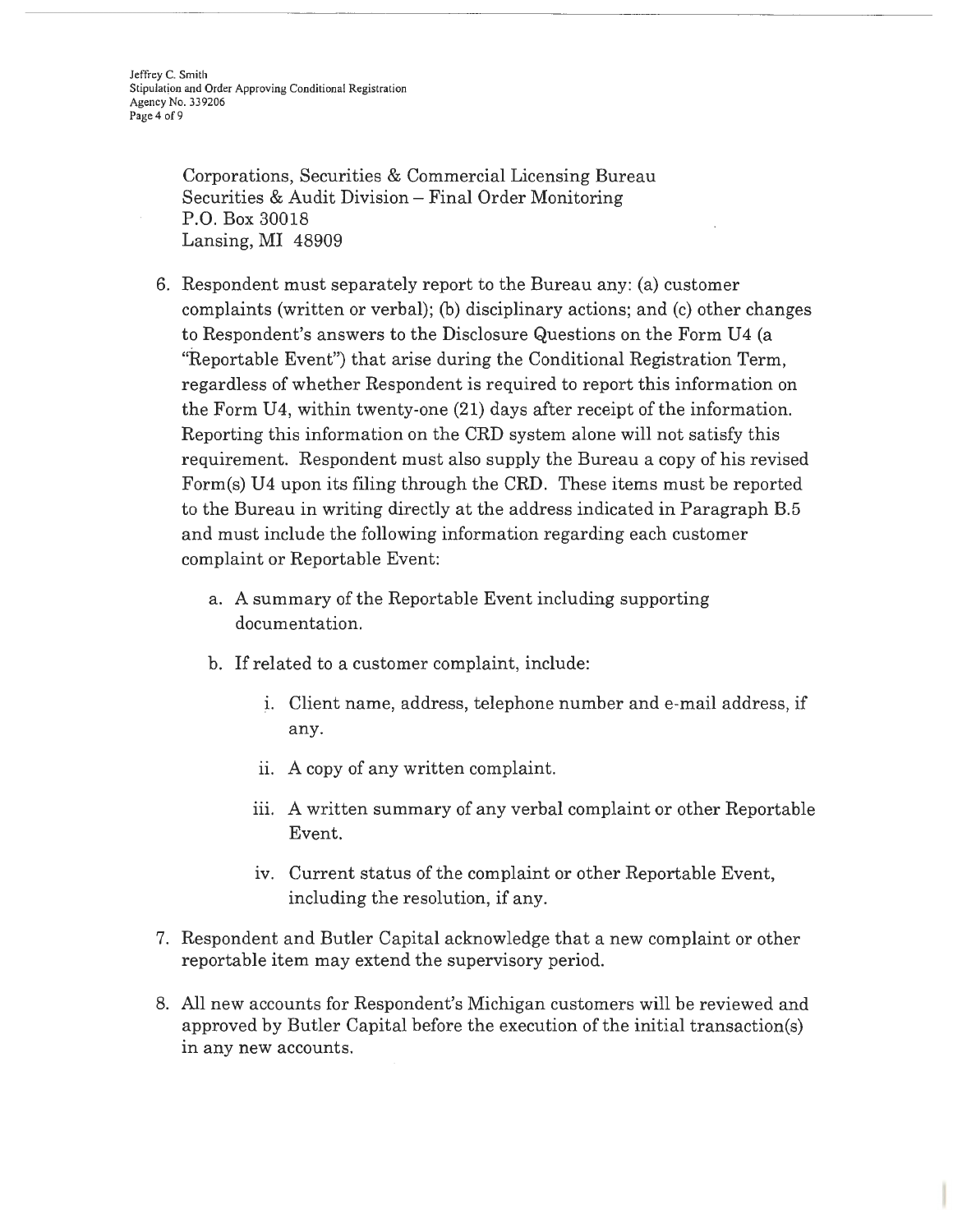Corporations, Securities & Commercial Licensing Bureau Securities & Audit Division- Final Order Monitoring P.O. Box 30018 Lansing, MI 48909

- 6. Respondent must separately report to the Bureau any: (a) customer complaints (written or verbal); (b) disciplinary actions; and (c) other changes to Respondent's answers to the Disclosure Questions on the Form U4 (a "Reportable Event") that arise during the Conditional Registration Term, regardless of whether Respondent is required to report this information on the Form U4, within twenty-one (21) days after receipt of the information. Reporting this information on the CRD system alone will not satisfy this requirement. Respondent must also supply the Bureau a copy of his revised Form(s) U4 upon its filing through the CRD. These items must be reported to the Bureau in writing directly at the address indicated in Paragraph B.5 and must include the following information regarding each customer complaint or Reportable Event:
	- a. A summary of the Reportable Event including supporting documentation.
	- b. If related to a customer complaint, include:
		- i. Client name, address, telephone number and e-mail address, if any.
		- ii. A copy of any written complaint.
		- iii. A written summary of any verbal complaint or other Reportable Event.
		- iv. Current status of the complaint or other Reportable Event, including the resolution, if any.
- 7. Respondent and Butler Capital acknowledge that a new complaint or other reportable item may extend the supervisory period.
- 8. All new accounts for Respondent's Michigan customers will be reviewed and approved by Butler Capital before the execution of the initial transaction(s) in any new accounts.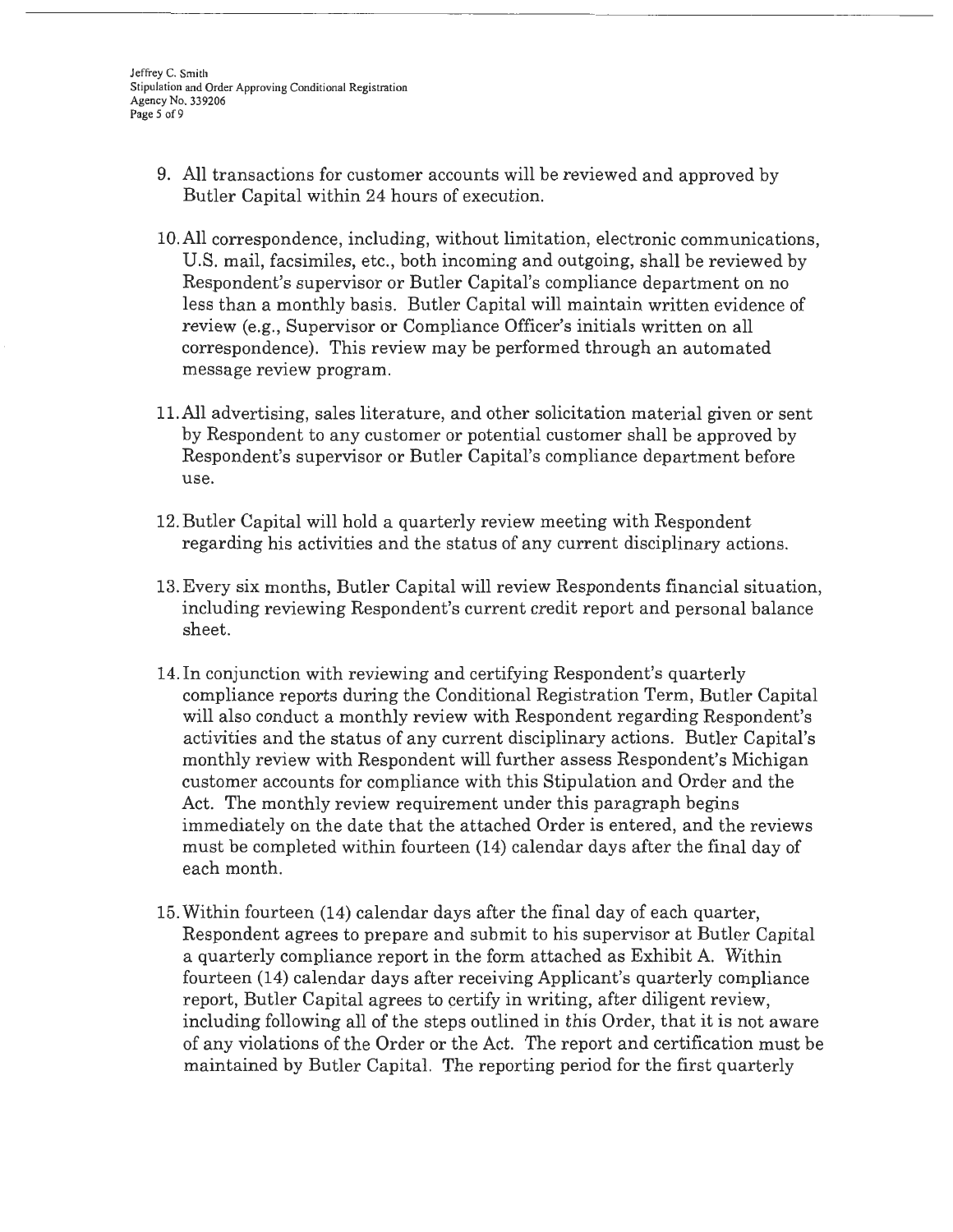Jeffrey C. Smith Stipulation and Order Approving Conditional Registration Agency No. 339206 Page *5* of9

- 9. All transactions for customer accounts will be reviewed and approved by Butler Capital within 24 hours of execution.
- IO.All correspondence, including, without limitation, electronic communications, U.S. mail, facsimiles, etc., both incoming and outgoing, shall be reviewed by Respondent's supervisor or Butler Capital's compliance department on no less than a monthly basis. Butler Capital will maintain written evidence of review (e.g., Supervisor or Compliance Officer's initials written on all correspondence). This review may be performed through an automated message review program.
- 11.All advertising, sales literature, and other solicitation material given or sent by Respondent to any customer or potential customer shall be approved by Respondent's supervisor or Butler Capital's compliance department before use.
- 12. Butler Capital will hold a quarterly review meeting with Respondent regarding his activities and the status of any current disciplinary actions.
- 13. Every six months, Butler Capital will review Respondents financial situation, including reviewing Respondent's current credit report and personal balance sheet.
- 14. In conjunction with reviewing and certifying Respondent's quarterly compliance reports during the Conditional Registration Term, Butler Capital will also conduct a monthly review with Respondent regarding Respondent's activities and the status of any current disciplinary actions. Butler Capital's monthly review with Respondent will further assess Respondent's Michigan customer accounts for compliance with this Stipulation and Order and the Act. The monthly review requirement under this paragraph begins immediately on the date that the attached Order is entered, and the reviews must be completed within fourteen (14) calendar days after the final day of each month.
- 15. Within fourteen (14) calendar days after the final day of each quarter, Respondent agrees to prepare and submit to his supervisor at Butler Capital a quarterly compliance report in the form attached as Exhibit A. Within fourteen (14) calendar days after receiving Applicant's quarterly compliance report, Butler Capital agrees to certify in writing, after diligent review, including following all of the steps outlined in this Order, that it is not aware of any violations of the Order or the Act. The report and certification must be maintained by Butler Capital. The reporting period for the first quarterly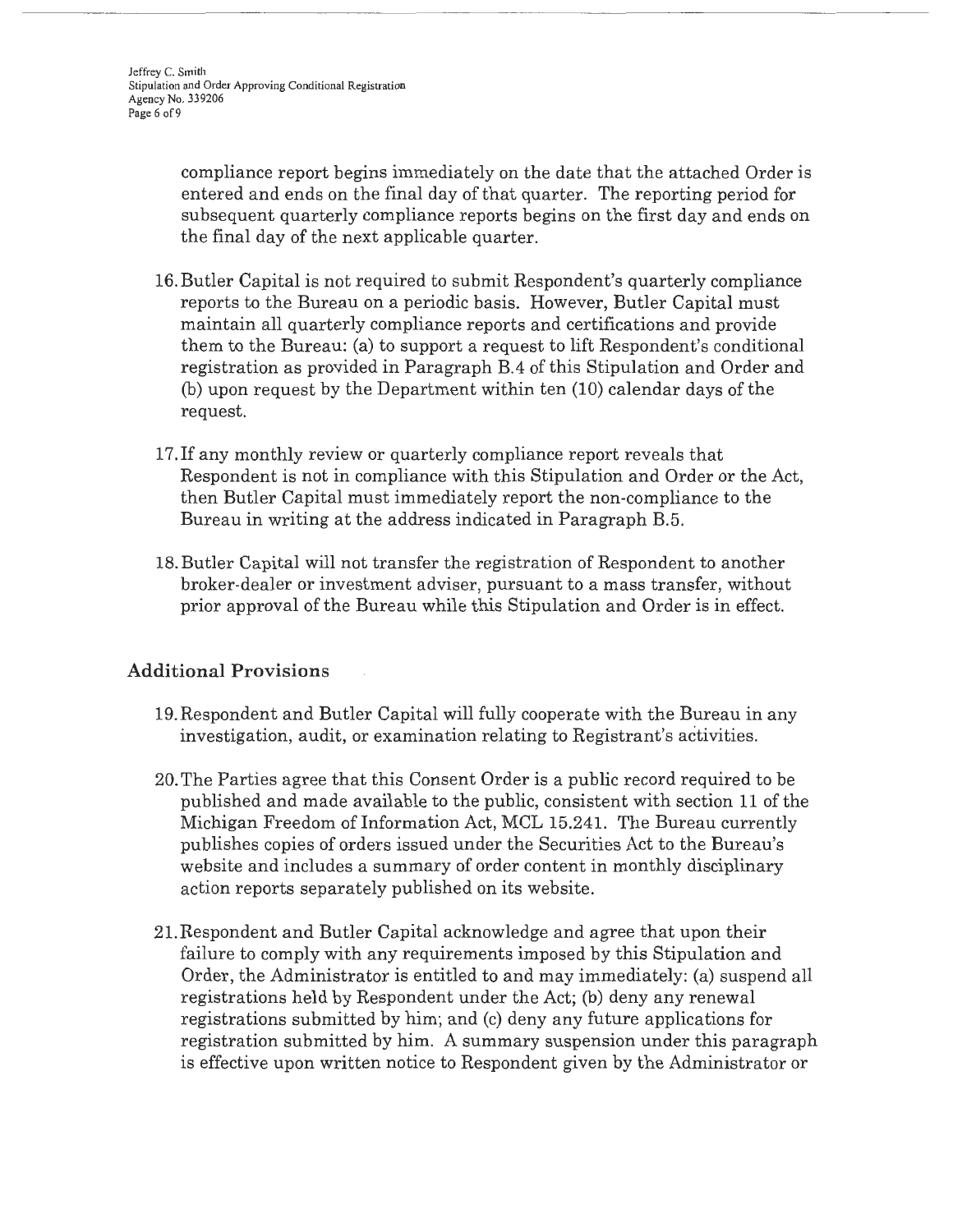compliance report begins immediately on the date that the attached Order is entered and ends on the final day of that quarter. The reporting period for subsequent quarterly compliance reports begins on the first day and ends on the final day of the next applicable quarter.

- 16. Butler Capital is not required to submit Respondent's quarterly compliance reports to the Bureau on a periodic basis. However, Butler Capital must maintain all quarterly compliance reports and certifications and provide them to the Bureau: (a) to support a request to lift Respondent's conditional registration as provided in Paragraph B.4 of this Stipulation and Order and (b) upon request by the Department within ten (10) calendar days of the request.
- 17. If any monthly review or quarterly compliance report reveals that Respondent is not in compliance with this Stipulation and Order or the Act, then Butler Capital must immediately report the non-compliance to the Bureau in writing at the address indicated in Paragraph B.5.
- 18. Butler Capital will not transfer the registration of Respondent to another broker-dealer or investment adviser, pursuant to a mass transfer, without prior approval of the Bureau while this Stipulation and Order is in effect.

# **Additional Provisions**

- 19.Respondent and Butler Capital will fully cooperate with the Bureau in any investigation, audit, or examination relating to Registrant's activities.
- 20. The Parties agree that this Consent Order is a public record required to be published and made available to the public, consistent with section 11 of the Michigan Freedom of Information Act, MCL 15.241. The Bureau currently publishes copies of orders issued under the Securities Act to the Bureau's website and includes a summary of order content in monthly disciplinary action reports separately published on its website.
- 21.Respondent and Butler Capital acknowledge and agree that upon their failure to comply with any requirements imposed by this Stipulation and Order, the Administrator is entitled to and may immediately: (a) suspend all registrations held by Respondent under the Act; (b) deny any renewal registrations submitted by him; and (c) deny any future applications for registration submitted by him. A summary suspension under this paragraph is effective upon written notice to Respondent given by the Administrator or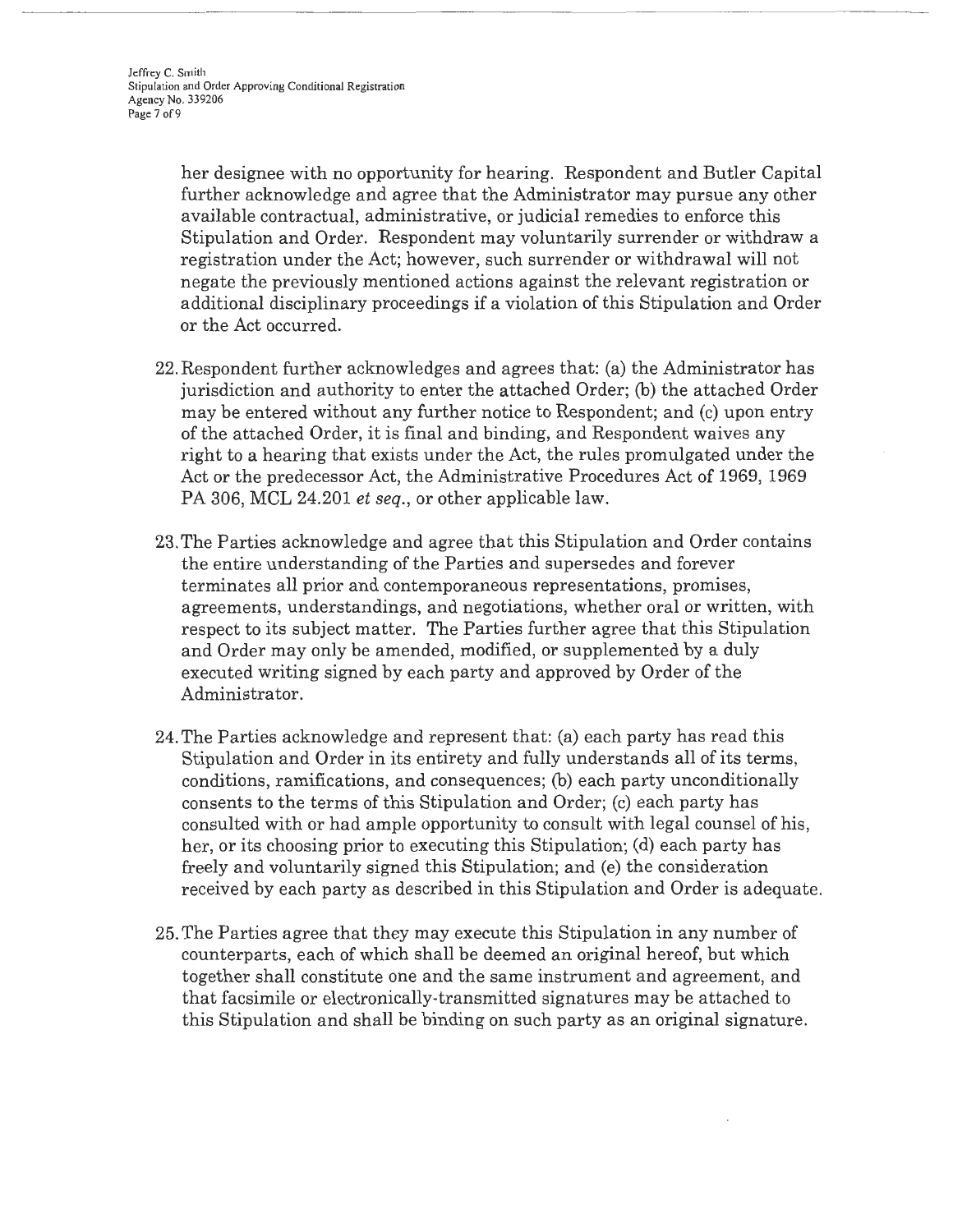her designee with no opportunity for hearing. Respondent and Butler Capital further acknowledge and agree that the Administrator may pursue any other available contractual, administrative, or judicial remedies to enforce this Stipulation and Order. Respondent may voluntarily surrender or withdraw a registration under the Act; however, such surrender or withdrawal will not negate the previously mentioned actions against the relevant registration or additional disciplinary proceedings if a violation of this Stipulation and Order or the Act occurred.

- 22. Respondent further acknowledges and agrees that: (a) the Administrator has jurisdiction and authority to enter the attached Order; (b) the attached Order may be entered without any further notice to Respondent; and (c) upon entry of the attached Order, it is final and binding, and Respondent waives any right to a hearing that exists under the Act, the rules promulgated under the Act or the predecessor Act, the Administrative Procedures Act of 1969, 1969 PA 306, MCL 24.201 *et seq.,* or other applicable law.
- 23. The Parties acknowledge and agree that this Stipulation and Order contains the entire understanding of the Parties and supersedes and forever terminates all prior and contemporaneous representations, promises, agreements, understandings, and negotiations, whether oral or written, with respect to its subject matter. The Parties further agree that this Stipulation and Order may only be amended, modified, or supplemented by a duly executed writing signed by each party and approved by Order of the Administrator.
- 24. The Parties acknowledge and represent that: (a) each party has read this Stipulation and Order in its entirety and fully understands all of its terms, conditions, ramifications, and consequences; (b) each party unconditionally consents to the terms of this Stipulation and Order; (c) each party has consulted with or had ample opportunity to consult with legal counsel of his, her, or its choosing prior to executing this Stipulation; (d) each party has freely and voluntarily signed this Stipulation; and (e) the consideration received by each party as described in this Stipulation and Order is adequate.
- 25. The Parties agree that they may execute this Stipulation in any number of counterparts, each of which shall be deemed an original hereof, but which together shall constitute one and the same instrument and agreement, and that facsimile or electronically-transmitted signatures may be attached to this Stipulation and shall be binding on such party as an original signature.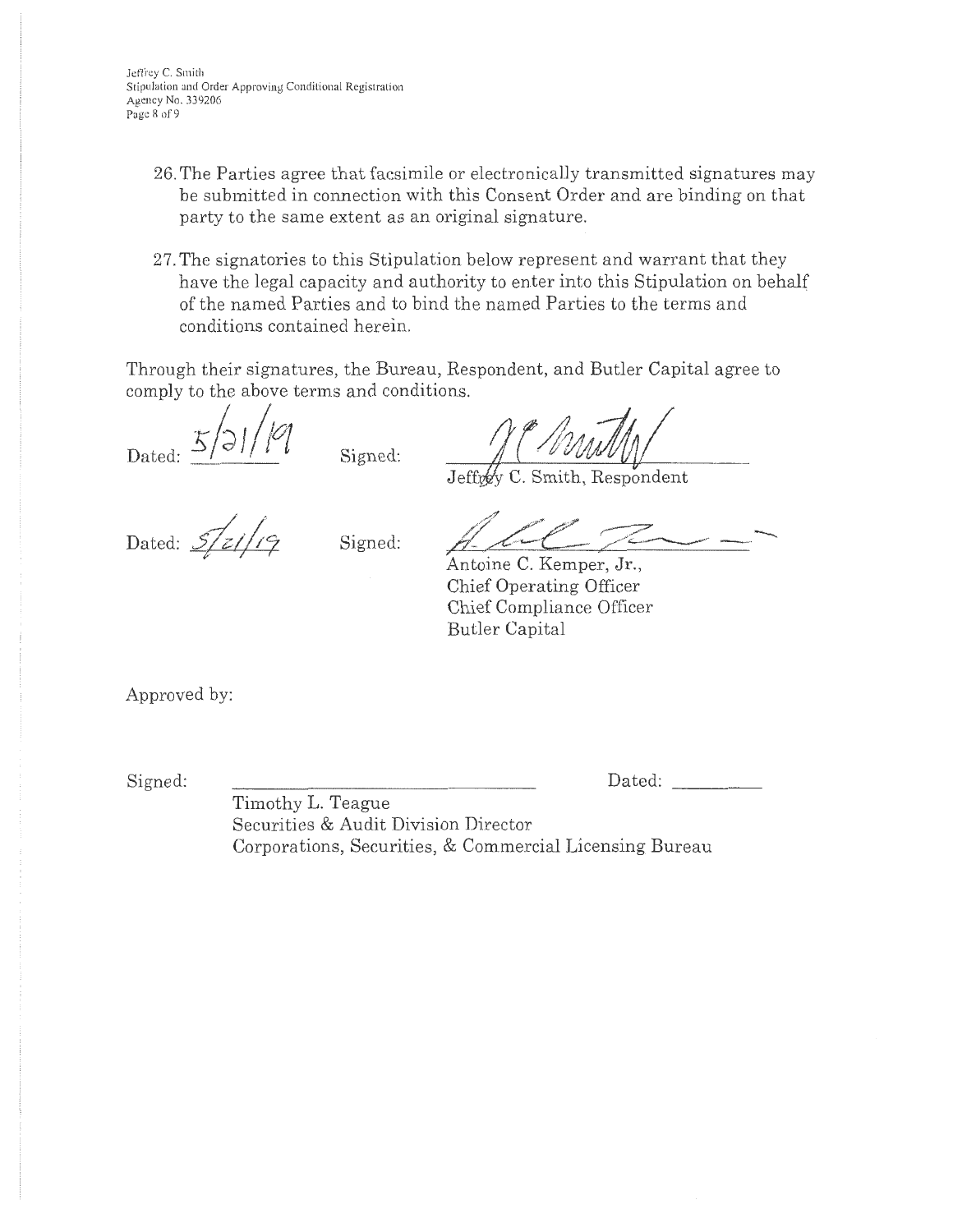- 26. The Parties agree that facsimile or electronically transmitted signatures may be submitted in connection with this Consent Order and are binding on that party to the same extent as an original signature.
- 27. The signatories to this Stipulation below represent and warrant that they have the legal capacity and authority to enter into this Stipulation on behalf of the named Parties and to bind the named Parties to the terms and conditions contained herein.

Through their signatures, the Bureau, Respondent, and Butler Capital agree to comply to the above terms and conditions.

 $\frac{5}{2}$ / $\frac{1}{2}$  Signed:

Jeffrey C. Smith, Respondent

Dated:  $\frac{1}{\sqrt{2}}$  Signed:<br>Dated:  $\frac{5}{\sqrt{2}}$  Signed:

*/Y* /~ / ~- ~

Antoine C. Kemper, Jr., Chief Operating Officer Chief Compliance Officer Butler Capital

Approved by:

Signed:

Dated:

Timothy L. Teague Securities & Audit Division Director Corporations, Securities, & Commercial Licensing Bureau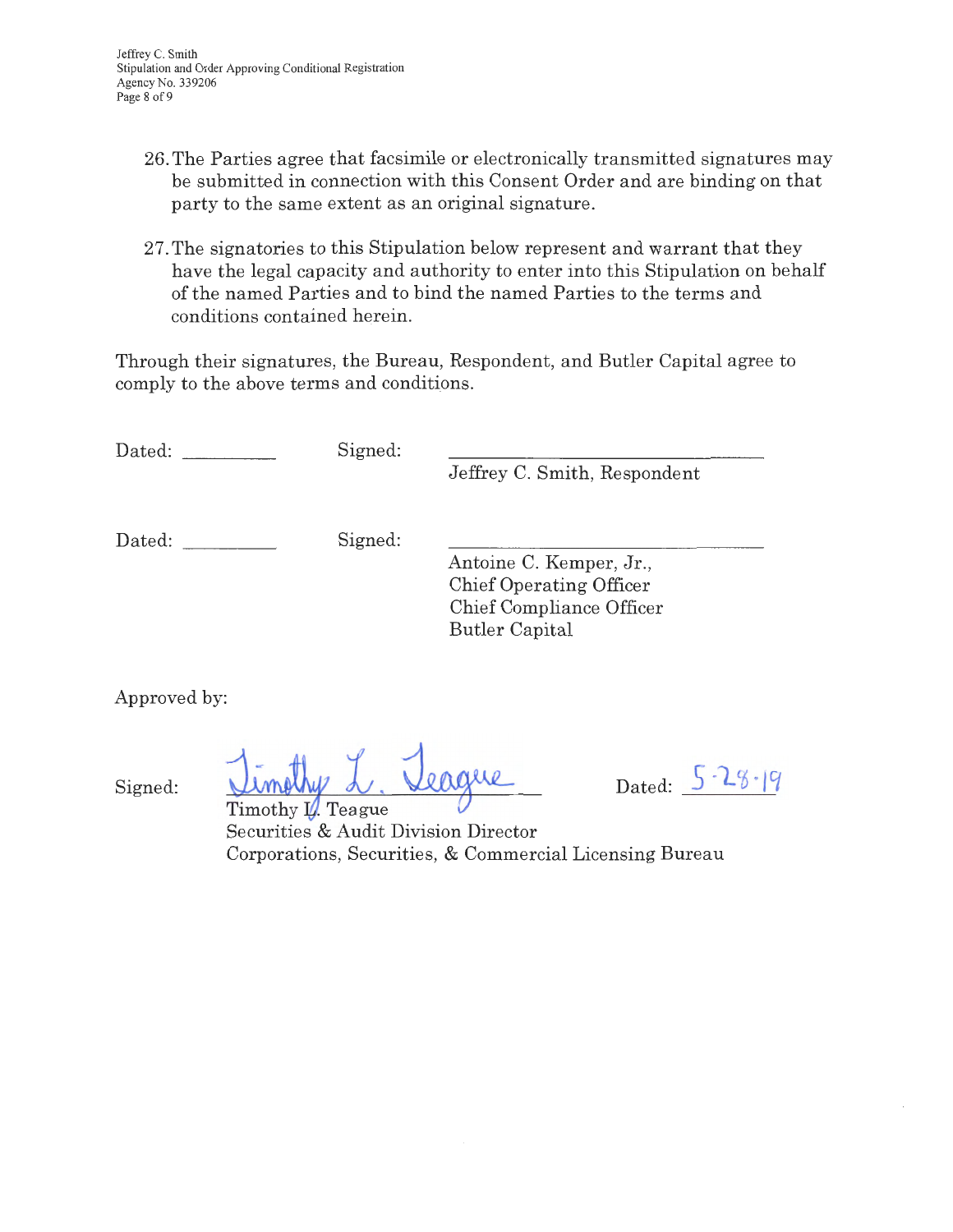- 26. The Parties agree that facsimile or electronically transmitted signatures may be submitted in connection with this Consent Order and are binding on that party to the same extent as an original signature.
- 27. The signatories to this Stipulation below represent and warrant that they have the legal capacity and authority to enter into this Stipulation on behalf of the named Parties and to bind the named Parties to the terms and conditions contained herein.

Through their signatures, the Bureau, Respondent, and Butler Capital agree to comply to the above terms and conditions.

Dated: Signed:

Jeffrey C. Smith, Respondent

Dated: Signed:

Antoine C. Kemper, Jr., Chief Operating Officer Chief Compliance Officer Butler Capital

Approved by:

Signed:

<u>Timothy L. Veague</u> Dated:<br>Timothy V. Teague

Timothy *U*. Teague Securities & Audit Division Director Corporations, Securities, & Commercial Licensing Bureau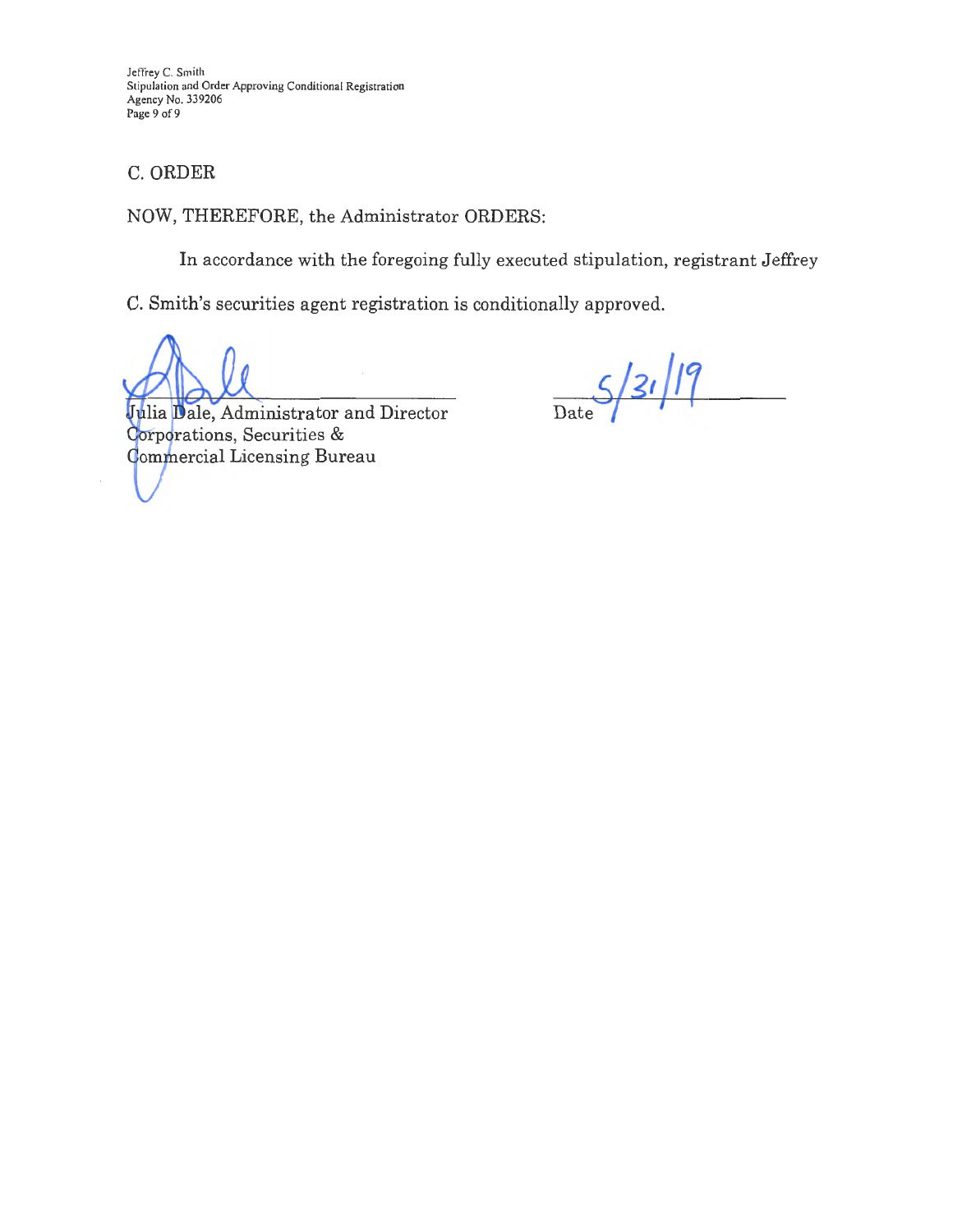Jeffrey C. Smith Stipulation and Order Approving Conditional Registration Agency No. 339206 Page 9 of 9

## C. ORDER

#### NOW, THEREFORE, the Administrator ORDERS:

In accordance with the foregoing fully executed stipulation, registrant Jeffrey

C. Smith's securities agent registration is conditionally approved.

 $S/31/19$ 

Julia Dale, Administrator and Director Corporations, Securities & **Commercial Licensing Bureau**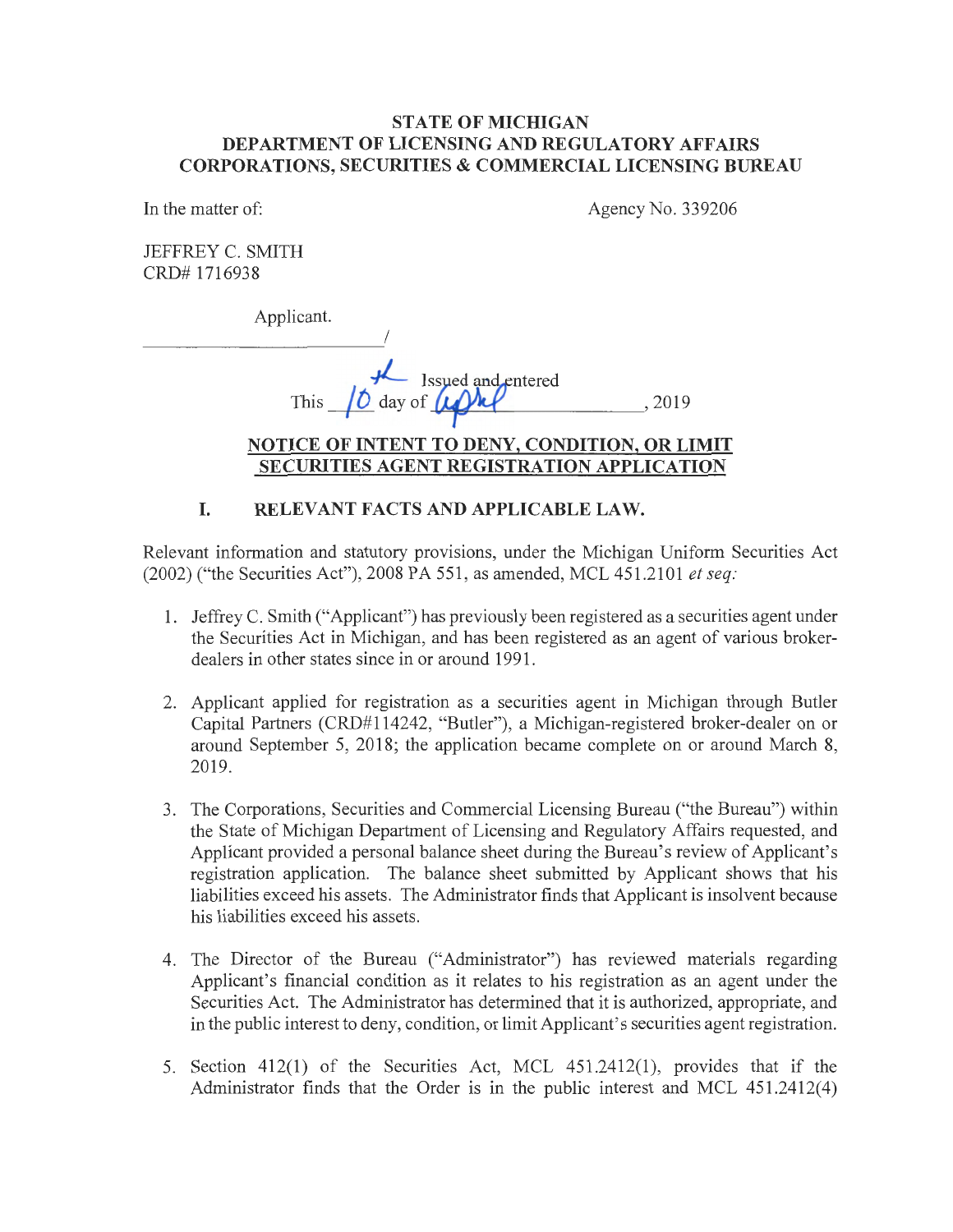### **STATE OF MICHIGAN DEPARTMENT OF LICENSING AND REGULATORY AFFAIRS CORPORATIONS, SECURITIES & COMMERCIAL LICENSING BUREAU**

In the matter of:

Agency No. 339206

JEFFREY C. SMITH CRD# 1716938

Applicant.

I ------------*I*<sup>*LL*</sup> Issued and entered This ~ day of\_..~~ - --------' 2019 **NOTICE OF INTENT TO DENY, CONDITION, OR LIMIT** 

# **SECURITIES AGENT REGISTRATION APPLICATION**

# **I. RELEVANT FACTS AND APPLICABLE LAW.**

Relevant information and statutory provisions, under the Michigan Uniform Securities Act (2002) ("the Securities Act"), 2008 PA 551, as amended, MCL 451.2101 *et seq:* 

- 1. Jeffrey C. Smith ("Applicant") has previously been registered as a securities agent under the Securities Act in Michigan, and has been registered as an agent of various brokerdealers in other states since in or around 1991.
- 2. Applicant applied for registration as a securities agent in Michigan through Butler Capital Partners (CRD#l 14242, "Butler"), a Michigan-registered broker-dealer on or around September 5, 2018; the application became complete on or around March 8, 2019.
- 3. The Corporations, Securities and Commercial Licensing Bureau ("the Bureau") within the State of Michigan Department of Licensing and Regulatory Affairs requested, and Applicant provided a personal balance sheet during the Bureau's review of Applicant's registration application. The balance sheet submitted by Applicant shows that his liabilities exceed his assets. The Administrator finds that Applicant is insolvent because his liabilities exceed his assets.
- 4. The Director of the Bureau ("Administrator") has reviewed materials regarding Applicant's financial condition as it relates to his registration as an agent under the Securities Act. The Administrator has determined that it is authorized, appropriate, and in the public interest to deny, condition, or limit Applicant's securities agent registration.
- 5. Section 412(1) of the Securities Act, MCL 451.2412(1), provides that if the Administrator finds that the Order is in the public interest and MCL 451.2412(4)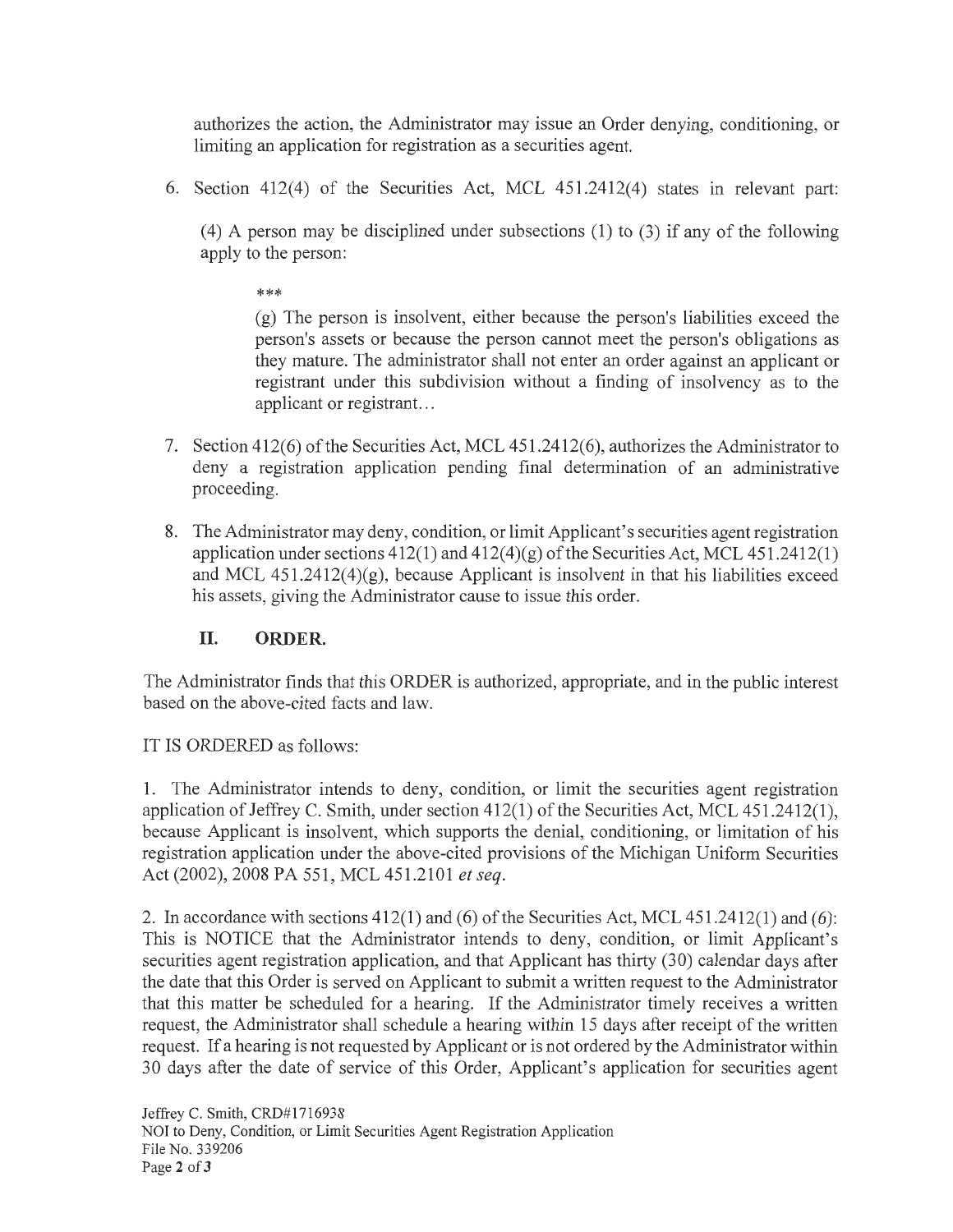authorizes the action, the Administrator may issue an Order denying, conditioning, or limiting an application for registration as a securities agent.

6. Section 412(4) of the Securities Act, MCL 451.2412(4) states in relevant part:

 $(4)$  A person may be disciplined under subsections  $(1)$  to  $(3)$  if any of the following apply to the person:

\*\*\*

(g) The person is insolvent, either because the person's liabilities exceed the person's assets or because the person cannot meet the person's obligations as they mature. The administrator shall not enter an order against an applicant or registrant under this subdivision without a finding of insolvency as to the applicant or registrant. ..

- 7. Section 412(6) of the Securities Act, MCL 451.2412(6), authorizes the Administrator to deny a registration application pending final determination of an administrative proceeding.
- 8. The Administrator may deny, condition, or limit Applicant's securities agent registration application under sections  $412(1)$  and  $412(4)(g)$  of the Securities Act, MCL  $451.2412(1)$ and MCL  $451.2412(4)(g)$ , because Applicant is insolvent in that his liabilities exceed his assets, giving the Administrator cause to issue this order.

# **II. ORDER.**

The Administrator finds that this ORDER is authorized, appropriate, and in the public interest based on the above-cited facts and law.

# IT IS ORDERED as follows:

1. The Administrator intends to deny, condition, or limit the securities agent registration application of Jeffrey C. Smith, under section 412(1) of the Securities Act, MCL 451.2412(1), because Applicant is insolvent, which supports the denial, conditioning, or limitation of his registration application under the above-cited provisions of the Michigan Uniform Securities Act (2002), 2008 PA 551, MCL 451.2101 *et seq.* 

2. In accordance with sections 412(1) and (6) of the Securities Act, MCL 451.2412(1) and (6): This is NOTICE that the Administrator intends to deny, condition, or limit Applicant's securities agent registration application, and that Applicant has thirty (30) calendar days after the date that this Order is served on Applicant to submit a written request to the Administrator that this matter be scheduled for a hearing. If the Administrator timely receives a written request, the Administrator shall schedule a hearing within 15 days after receipt of the written request. If a hearing is not requested by Applicant or is not ordered by the Administrator within 30 days after the date of service of this Order, Applicant's application for securities agent